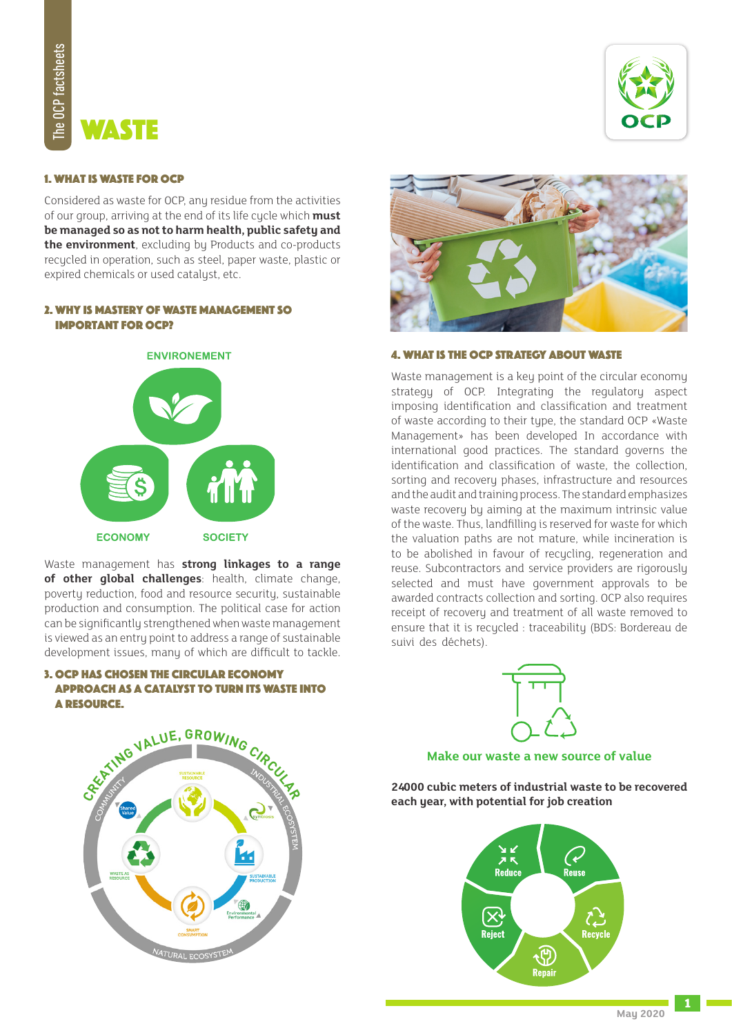# Waste

## **1. WHAT IS WASTE FOR OCP**

Considered as waste for OCP, any residue from the activities of our group, arriving at the end of its life cycle which **must** be managed so as not to harm health, public safety and the environment, excluding by Products and co-products recycled in operation, such as steel, paper waste, plastic or expired chemicals or used catalyst, etc.

## 2. WHY IS MASTERY OF WASTE MANAGEMENT SO **IMPORTANT FOR OCP?**



Waste management has **strong linkages to a range** of other **global challenges**: health, climate change, poverty reduction, food and resource security, sustainable production and consumption. The political case for action can be significantly strengthened when waste management is viewed as an entry point to address a range of sustainable development issues, many of which are difficult to tackle.

## 3. OCP HAS CHOSEN THE CIRCULAR ECONOMY APPROACH AS A CATALYST TO TURN ITS WASTE INTO A RESOURCE.





## 4. WHAT IS THE OCP STRATEGY ABOUT WASTE

Waste management is a key point of the circular economy strategy of OCP. Integrating the regulatory aspect imposing identification and classification and treatment of waste according to their type, the standard OCP «Waste Management» has been developed In accordance with international good practices. The standard governs the identification and classification of waste, the collection, sorting and recovery phases, infrastructure and resources and the audit and training process. The standard emphasizes waste recovery by aiming at the maximum intrinsic value of the waste. Thus, landfilling is reserved for waste for which the valuation paths are not mature, while incineration is to be abolished in favour of recycling, regeneration and reuse. Subcontractors and service providers are rigorously selected and must have government approvals to be awarded contracts collection and sorting. OCP also requires receipt of recovery and treatment of all waste removed to ensure that it is recycled : traceability (BDS: Bordereau de suivi des déchets).



## **Make our waste a new source of value**

**24000 cubic meters of industrial waste to be recovered** each year, with potential for job creation



SEXTING VALUE, GROWING CIA

**1**